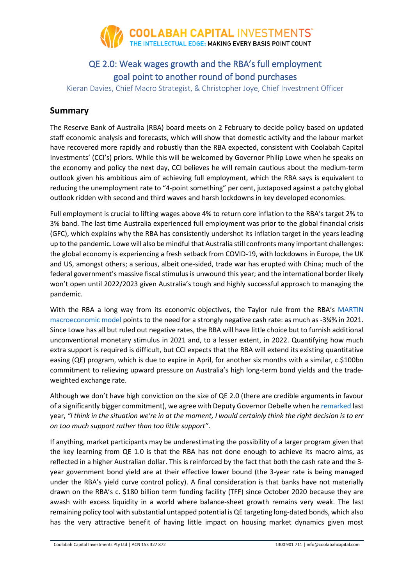

## QE 2.0: Weak wages growth and the RBA's full employment goal point to another round of bond purchases

Kieran Davies, Chief Macro Strategist, & Christopher Joye, Chief Investment Officer

### **Summary**

The Reserve Bank of Australia (RBA) board meets on 2 February to decide policy based on updated staff economic analysis and forecasts, which will show that domestic activity and the labour market have recovered more rapidly and robustly than the RBA expected, consistent with Coolabah Capital Investments' (CCI's) priors. While this will be welcomed by Governor Philip Lowe when he speaks on the economy and policy the next day, CCI believes he will remain cautious about the medium-term outlook given his ambitious aim of achieving full employment, which the RBA says is equivalent to reducing the unemployment rate to "4-point something" per cent, juxtaposed against a patchy global outlook ridden with second and third waves and harsh lockdowns in key developed economies.

Full employment is crucial to lifting wages above 4% to return core inflation to the RBA's target 2% to 3% band. The last time Australia experienced full employment was prior to the global financial crisis (GFC), which explains why the RBA has consistently undershot its inflation target in the years leading up to the pandemic. Lowe will also be mindful that Australia still confronts many important challenges: the global economy is experiencing a fresh setback from COVID-19, with lockdowns in Europe, the UK and US, amongst others; a serious, albeit one-sided, trade war has erupted with China; much of the federal government's massive fiscal stimulus is unwound this year; and the international border likely won't open until 2022/2023 given Australia's tough and highly successful approach to managing the pandemic.

With the RBA a long way from its economic objectives, the Taylor rule from the RBA's [MARTIN](https://www.rba.gov.au/publications/rdp/2019/2019-07.html)  [macroeconomic model](https://www.rba.gov.au/publications/rdp/2019/2019-07.html) points to the need for a strongly negative cash rate: as much as -3¾% in 2021. Since Lowe has all but ruled out negative rates, the RBA will have little choice but to furnish additional unconventional monetary stimulus in 2021 and, to a lesser extent, in 2022. Quantifying how much extra support is required is difficult, but CCI expects that the RBA will extend its existing quantitative easing (QE) program, which is due to expire in April, for another six months with a similar, c.\$100bn commitment to relieving upward pressure on Australia's high long-term bond yields and the tradeweighted exchange rate.

Although we don't have high conviction on the size of QE 2.0 (there are credible arguments in favour of a significantly bigger commitment), we agree with Deputy Governor Debelle when he remarked last year, *"I think in the situation we're in at the moment, I would certainly think the right decision is to err on too much support rather than too little support"*.

If anything, market participants may be underestimating the possibility of a larger program given that the key learning from QE 1.0 is that the RBA has not done enough to achieve its macro aims, as reflected in a higher Australian dollar. This is reinforced by the fact that both the cash rate and the 3 year government bond yield are at their effective lower bound (the 3-year rate is being managed under the RBA's yield curve control policy). A final consideration is that banks have not materially drawn on the RBA's c. \$180 billion term funding facility (TFF) since October 2020 because they are awash with excess liquidity in a world where balance-sheet growth remains very weak. The last remaining policy tool with substantial untapped potential is QE targeting long-dated bonds, which also has the very attractive benefit of having little impact on housing market dynamics given most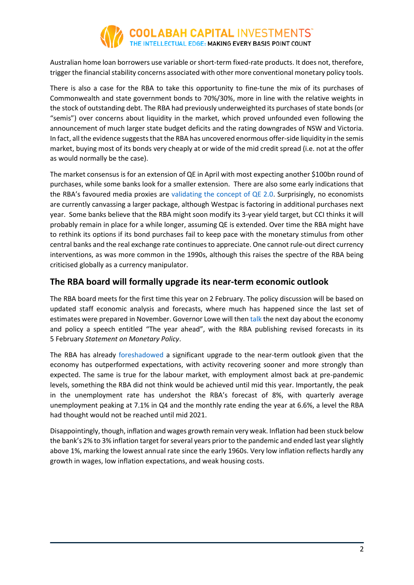

Australian home loan borrowers use variable or short-term fixed-rate products. It does not, therefore, trigger the financial stability concerns associated with other more conventional monetary policy tools.

There is also a case for the RBA to take this opportunity to fine-tune the mix of its purchases of Commonwealth and state government bonds to 70%/30%, more in line with the relative weights in the stock of outstanding debt. The RBA had previously underweighted its purchases of state bonds (or "semis") over concerns about liquidity in the market, which proved unfounded even following the announcement of much larger state budget deficits and the rating downgrades of NSW and Victoria. In fact, all the evidence suggests that the RBA has uncovered enormous offer-side liquidity in the semis market, buying most of its bonds very cheaply at or wide of the mid credit spread (i.e. not at the offer as would normally be the case).

The market consensus is for an extension of QE in April with most expecting another \$100bn round of purchases, while some banks look for a smaller extension. There are also some early indications that the RBA's favoured media proxies are validating the concept of  $QE$  2.0. Surprisingly, no economists are currently canvassing a larger package, although Westpac is factoring in additional purchases next year. Some banks believe that the RBA might soon modify its 3-year yield target, but CCI thinks it will probably remain in place for a while longer, assuming QE is extended. Over time the RBA might have to rethink its options if its bond purchases fail to keep pace with the monetary stimulus from other central banks and the real exchange rate continues to appreciate. One cannot rule-out direct currency interventions, as was more common in the 1990s, although this raises the spectre of the RBA being criticised globally as a currency manipulator.

### **The RBA board will formally upgrade its near-term economic outlook**

The RBA board meets for the first time this year on 2 February. The policy discussion will be based on updated staff economic analysis and forecasts, where much has happened since the last set of estimates were prepared in November. Governor Lowe will then [talk](https://rba.gov.au/media/) the next day about the economy and policy a speech entitled "The year ahead", with the RBA publishing revised forecasts in its 5 February *Statement on Monetary Policy*.

The RBA has already [foreshadowed](https://parlinfo.aph.gov.au/parlInfo/download/committees/commrep/4c225357-9226-403c-b656-6ee06c9f2b2f/toc_pdf/Standing%20Committee%20on%20Economics_2020_12_02_8387_Official.pdf;fileType=application%2Fpdf) a significant upgrade to the near-term outlook given that the economy has outperformed expectations, with activity recovering sooner and more strongly than expected. The same is true for the labour market, with employment almost back at pre-pandemic levels, something the RBA did not think would be achieved until mid this year. Importantly, the peak in the unemployment rate has undershot the RBA's forecast of 8%, with quarterly average unemployment peaking at 7.1% in Q4 and the monthly rate ending the year at 6.6%, a level the RBA had thought would not be reached until mid 2021.

Disappointingly, though, inflation and wages growth remain very weak. Inflation had been stuck below the bank's 2% to 3% inflation target for several years prior to the pandemic and ended last year slightly above 1%, marking the lowest annual rate since the early 1960s. Very low inflation reflects hardly any growth in wages, low inflation expectations, and weak housing costs.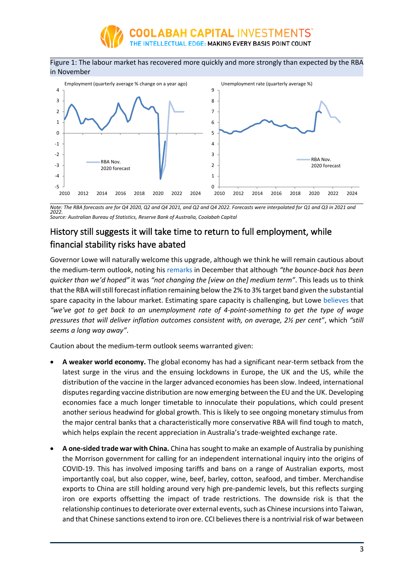

#### Figure 1: The labour market has recovered more quickly and more strongly than expected by the RBA in November



*Note: The RBA forecasts are for Q4 2020, Q2 and Q4 2021, and Q2 and Q4 2022. Forecasts were interpolated for Q1 and Q3 in 2021 and 2022. Source: Australian Bureau of Statistics, Reserve Bank of Australia, Coolabah Capital* 

## History still suggests it will take time to return to full employment, while financial stability risks have abated

Governor Lowe will naturally welcome this upgrade, although we think he will remain cautious about the medium-term outlook, noting his [remarks](https://parlinfo.aph.gov.au/parlInfo/download/committees/commrep/4c225357-9226-403c-b656-6ee06c9f2b2f/toc_pdf/Standing%20Committee%20on%20Economics_2020_12_02_8387_Official.pdf;fileType=application%2Fpdf) in December that although *"the bounce-back has been quicker than we'd hoped"* it was *"not changing the [view on the] medium term"*. This leads us to think that the RBA will still forecast inflation remaining below the 2% to 3% target band given the substantial spare capacity in the labour market. Estimating spare capacity is challenging, but Lowe [believes](https://parlinfo.aph.gov.au/parlInfo/download/committees/commrep/4c225357-9226-403c-b656-6ee06c9f2b2f/toc_pdf/Standing%20Committee%20on%20Economics_2020_12_02_8387_Official.pdf;fileType=application%2Fpdf) that *"we've got to get back to an unemployment rate of 4-point-something to get the type of wage pressures that will deliver inflation outcomes consistent with, on average, 2½ per cent"*, which *"still seems a long way away"*.

Caution about the medium-term outlook seems warranted given:

- **A weaker world economy.** The global economy has had a significant near-term setback from the latest surge in the virus and the ensuing lockdowns in Europe, the UK and the US, while the distribution of the vaccine in the larger advanced economies has been slow. Indeed, international disputes regarding vaccine distribution are now emerging between the EU and the UK. Developing economies face a much longer timetable to innoculate their populations, which could present another serious headwind for global growth. This is likely to see ongoing monetary stimulus from the major central banks that a characteristically more conservative RBA will find tough to match, which helps explain the recent appreciation in Australia's trade-weighted exchange rate.
- **A one-sided trade war with China.** China has sought to make an example of Australia by punishing the Morrison government for calling for an independent international inquiry into the origins of COVID-19. This has involved imposing tariffs and bans on a range of Australian exports, most importantly coal, but also copper, wine, beef, barley, cotton, seafood, and timber. Merchandise exports to China are still holding around very high pre-pandemic levels, but this reflects surging iron ore exports offsetting the impact of trade restrictions. The downside risk is that the relationship continues to deteriorate over external events, such as Chinese incursions into Taiwan, and that Chinese sanctions extend to iron ore. CCI believes there is a nontrivial risk of war between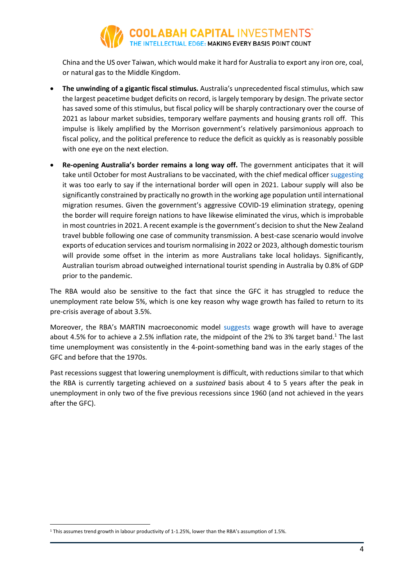# **COOLABAH CAPITAL** INVESTMENTS<sup>"</sup><br>THE INTELLECTUAL EDGE: MAKING EVERY BASIS POINT COUNT

China and the US over Taiwan, which would make it hard for Australia to export any iron ore, coal, or natural gas to the Middle Kingdom.

- **The unwinding of a gigantic fiscal stimulus.** Australia's unprecedented fiscal stimulus, which saw the largest peacetime budget deficits on record, is largely temporary by design. The private sector has saved some of this stimulus, but fiscal policy will be sharply contractionary over the course of 2021 as labour market subsidies, temporary welfare payments and housing grants roll off. This impulse is likely amplified by the Morrison government's relatively parsimonious approach to fiscal policy, and the political preference to reduce the deficit as quickly as is reasonably possible with one eye on the next election.
- **Re-opening Australia's border remains a long way off.** The government anticipates that it will take until October for most Australians to be vaccinated, with the chief medical office[r suggesting](https://www.news.com.au/travel/travel-updates/health-safety/widespread-overseas-travel-unlikely-for-australians-in-2021/news-story/3d84c7bd3dff15b132e53ebb7e014e7c) it was too early to say if the international border will open in 2021. Labour supply will also be significantly constrained by practically no growth in the working age population until international migration resumes. Given the government's aggressive COVID-19 elimination strategy, opening the border will require foreign nations to have likewise eliminated the virus, which is improbable in most countries in 2021. A recent example is the government's decision to shut the New Zealand travel bubble following one case of community transmission. A best-case scenario would involve exports of education services and tourism normalising in 2022 or 2023, although domestic tourism will provide some offset in the interim as more Australians take local holidays. Significantly, Australian tourism abroad outweighed international tourist spending in Australia by 0.8% of GDP prior to the pandemic.

The RBA would also be sensitive to the fact that since the GFC it has struggled to reduce the unemployment rate below 5%, which is one key reason why wage growth has failed to return to its pre-crisis average of about 3.5%.

Moreover, the RBA's MARTIN macroeconomic model [suggests](https://www.rba.gov.au/publications/rdp/2019/2019-07/rdp-2019-07-online-appendix.pdf) wage growth will have to average about 4.5% for to achieve a 2.5% inflation rate, the midpoint of the 2% to 3% target band.<sup>1</sup> The last time unemployment was consistently in the 4-point-something band was in the early stages of the GFC and before that the 1970s.

Past recessions suggest that lowering unemployment is difficult, with reductions similar to that which the RBA is currently targeting achieved on a *sustained* basis about 4 to 5 years after the peak in unemployment in only two of the five previous recessions since 1960 (and not achieved in the years after the GFC).

<sup>1</sup> This assumes trend growth in labour productivity of 1-1.25%, lower than the RBA's assumption of 1.5%.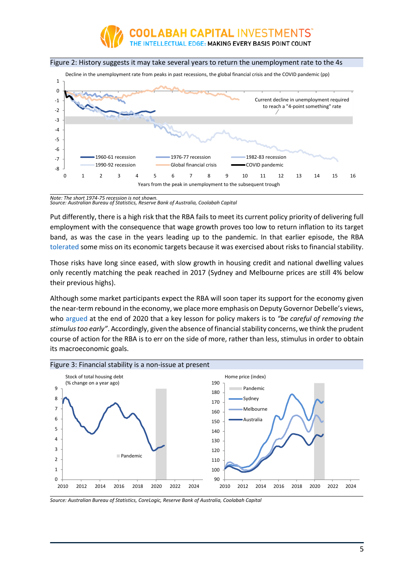

#### Figure 2: History suggests it may take several years to return the unemployment rate to the 4s



*Note: The short 1974-75 recession is not shown. Source: Australian Bureau of Statistics, Reserve Bank of Australia, Coolabah Capital* 

Put differently, there is a high risk that the RBA fails to meet its current policy priority of delivering full employment with the consequence that wage growth proves too low to return inflation to its target band, as was the case in the years leading up to the pandemic. In that earlier episode, the RBA [tolerated](https://rba.gov.au/speeches/2016/sp-gov-2016-10-18.html) some miss on its economic targets because it was exercised about risks to financial stability.

Those risks have long since eased, with slow growth in housing credit and national dwelling values only recently matching the peak reached in 2017 (Sydney and Melbourne prices are still 4% below their previous highs).

Although some market participants expect the RBA will soon taper its support for the economy given the near-term rebound in the economy, we place more emphasis on Deputy Governor Debelle's views, who [argued](https://rba.gov.au/speeches/2020/sp-dg-2020-11-24.html) at the end of 2020 that a key lesson for policy makers is to *"be careful of removing the stimulus too early"*. Accordingly, given the absence of financial stability concerns, we think the prudent course of action for the RBA is to err on the side of more, rather than less, stimulus in order to obtain its macroeconomic goals.



*Source: Australian Bureau of Statistics, CoreLogic, Reserve Bank of Australia, Coolabah Capital*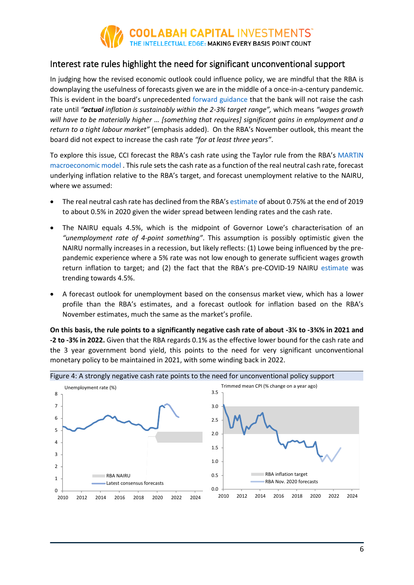

## Interest rate rules highlight the need for significant unconventional support

In judging how the revised economic outlook could influence policy, we are mindful that the RBA is downplaying the usefulness of forecasts given we are in the middle of a once-in-a-century pandemic. This is evident in the board's unprecedented [forward guidance](https://rba.gov.au/media-releases/2020/mr-20-32.html) that the bank will not raise the cash rate until *"actual inflation is sustainably within the 2-3% target range",* which means *"wages growth will have to be materially higher … [something that requires] significant gains in employment and a return to a tight labour market"* (emphasis added). On the RBA's November outlook, this meant the board did not expect to increase the cash rate *"for at least three years"*.

To explore this issue, CCI forecast the RBA's cash rate using the Taylor rule from the RBA's [MARTIN](https://www.rba.gov.au/publications/rdp/2019/2019-07.html)  [macroeconomic model](https://www.rba.gov.au/publications/rdp/2019/2019-07.html) . This rule sets the cash rate as a function of the real neutral cash rate, forecast underlying inflation relative to the RBA's target, and forecast unemployment relative to the NAIRU, where we assumed:

- The real neutral cash rate has declined from the RBA's [estimate](https://www.rba.gov.au/publications/bulletin/2020/sep/the-economic-effects-of-low-interest-rates-and-unconventional-monetary-policy.html) of about 0.75% at the end of 2019 to about 0.5% in 2020 given the wider spread between lending rates and the cash rate.
- The NAIRU equals 4.5%, which is the midpoint of Governor Lowe's characterisation of an *"unemployment rate of 4-point something"*. This assumption is possibly optimistic given the NAIRU normally increases in a recession, but likely reflects: (1) Lowe being influenced by the prepandemic experience where a 5% rate was not low enough to generate sufficient wages growth return inflation to target; and (2) the fact that the RBA's pre-COVID-19 NAIRU [estimate](https://www.rba.gov.au/publications/bulletin/2019/jun/explaining-low-inflation-using-models.html) was trending towards 4.5%.
- A forecast outlook for unemployment based on the consensus market view, which has a lower profile than the RBA's estimates, and a forecast outlook for inflation based on the RBA's November estimates, much the same as the market's profile.

**On this basis, the rule points to a significantly negative cash rate of about -3¼ to -3¾% in 2021 and -2 to -3% in 2022.** Given that the RBA regards 0.1% as the effective lower bound for the cash rate and the 3 year government bond yield, this points to the need for very significant unconventional monetary policy to be maintained in 2021, with some winding back in 2022.

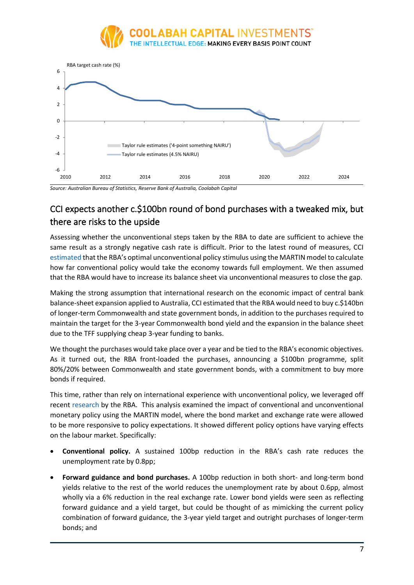



*Source: Australian Bureau of Statistics, Reserve Bank of Australia, Coolabah Capital* 

# CCI expects another c.\$100bn round of bond purchases with a tweaked mix, but there are risks to the upside

Assessing whether the unconventional steps taken by the RBA to date are sufficient to achieve the same result as a strongly negative cash rate is difficult. Prior to the latest round of measures, CCI [estimated](https://coolabahcapital.com/aggressive-rba-policy-easing-in-november/) that the RBA's optimal unconventional policy stimulus using the MARTIN model to calculate how far conventional policy would take the economy towards full employment. We then assumed that the RBA would have to increase its balance sheet via unconventional measures to close the gap.

Making the strong assumption that international research on the economic impact of central bank balance-sheet expansion applied to Australia, CCI estimated that the RBA would need to buy c.\$140bn of longer-term Commonwealth and state government bonds, in addition to the purchases required to maintain the target for the 3-year Commonwealth bond yield and the expansion in the balance sheet due to the TFF supplying cheap 3-year funding to banks.

We thought the purchases would take place over a year and be tied to the RBA's economic objectives. As it turned out, the RBA front-loaded the purchases, announcing a \$100bn programme, split 80%/20% between Commonwealth and state government bonds, with a commitment to buy more bonds if required.

This time, rather than rely on international experience with unconventional policy, we leveraged off recent [research](https://www.rba.gov.au/publications/bulletin/2020/sep/the-economic-effects-of-low-interest-rates-and-unconventional-monetary-policy.html) by the RBA. This analysis examined the impact of conventional and unconventional monetary policy using the MARTIN model, where the bond market and exchange rate were allowed to be more responsive to policy expectations. It showed different policy options have varying effects on the labour market. Specifically:

- **Conventional policy.** A sustained 100bp reduction in the RBA's cash rate reduces the unemployment rate by 0.8pp;
- **Forward guidance and bond purchases.** A 100bp reduction in both short- and long-term bond yields relative to the rest of the world reduces the unemployment rate by about 0.6pp, almost wholly via a 6% reduction in the real exchange rate. Lower bond yields were seen as reflecting forward guidance and a yield target, but could be thought of as mimicking the current policy combination of forward guidance, the 3-year yield target and outright purchases of longer-term bonds; and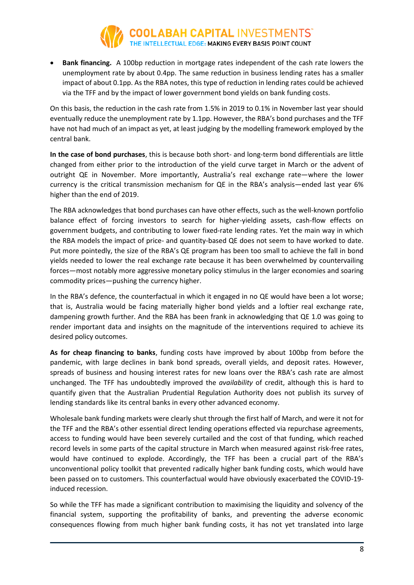

• **Bank financing.** A 100bp reduction in mortgage rates independent of the cash rate lowers the unemployment rate by about 0.4pp. The same reduction in business lending rates has a smaller impact of about 0.1pp. As the RBA notes, this type of reduction in lending rates could be achieved via the TFF and by the impact of lower government bond yields on bank funding costs.

On this basis, the reduction in the cash rate from 1.5% in 2019 to 0.1% in November last year should eventually reduce the unemployment rate by 1.1pp. However, the RBA's bond purchases and the TFF have not had much of an impact as yet, at least judging by the modelling framework employed by the central bank.

**In the case of bond purchases**, this is because both short- and long-term bond differentials are little changed from either prior to the introduction of the yield curve target in March or the advent of outright QE in November. More importantly, Australia's real exchange rate—where the lower currency is the critical transmission mechanism for QE in the RBA's analysis—ended last year 6% higher than the end of 2019.

The RBA acknowledges that bond purchases can have other effects, such as the well-known portfolio balance effect of forcing investors to search for higher-yielding assets, cash-flow effects on government budgets, and contributing to lower fixed-rate lending rates. Yet the main way in which the RBA models the impact of price- and quantity-based QE does not seem to have worked to date. Put more pointedly, the size of the RBA's QE program has been too small to achieve the fall in bond yields needed to lower the real exchange rate because it has been overwhelmed by countervailing forces—most notably more aggressive monetary policy stimulus in the larger economies and soaring commodity prices—pushing the currency higher.

In the RBA's defence, the counterfactual in which it engaged in no QE would have been a lot worse; that is, Australia would be facing materially higher bond yields and a loftier real exchange rate, dampening growth further. And the RBA has been frank in acknowledging that QE 1.0 was going to render important data and insights on the magnitude of the interventions required to achieve its desired policy outcomes.

**As for cheap financing to banks**, funding costs have improved by about 100bp from before the pandemic, with large declines in bank bond spreads, overall yields, and deposit rates. However, spreads of business and housing interest rates for new loans over the RBA's cash rate are almost unchanged. The TFF has undoubtedly improved the *availability* of credit, although this is hard to quantify given that the Australian Prudential Regulation Authority does not publish its survey of lending standards like its central banks in every other advanced economy.

Wholesale bank funding markets were clearly shut through the first half of March, and were it not for the TFF and the RBA's other essential direct lending operations effected via repurchase agreements, access to funding would have been severely curtailed and the cost of that funding, which reached record levels in some parts of the capital structure in March when measured against risk-free rates, would have continued to explode. Accordingly, the TFF has been a crucial part of the RBA's unconventional policy toolkit that prevented radically higher bank funding costs, which would have been passed on to customers. This counterfactual would have obviously exacerbated the COVID-19 induced recession.

So while the TFF has made a significant contribution to maximising the liquidity and solvency of the financial system, supporting the profitability of banks, and preventing the adverse economic consequences flowing from much higher bank funding costs, it has not yet translated into large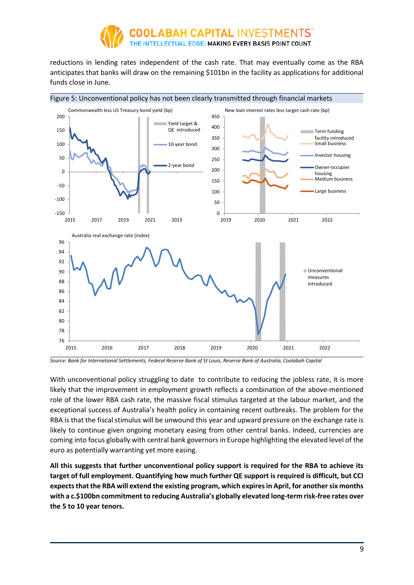

reductions in lending rates independent of the cash rate. That may eventually come as the RBA anticipates that banks will draw on the remaining \$101bn in the facility as applications for additional funds close in June.



*Source: Bank for International Settlements, Federal Reserve Bank of St Louis, Reserve Bank of Australia, Coolabah Capital* 

With unconventional policy struggling to date to contribute to reducing the jobless rate, it is more likely that the improvement in employment growth reflects a combination of the above-mentioned role of the lower RBA cash rate, the massive fiscal stimulus targeted at the labour market, and the exceptional success of Australia's health policy in containing recent outbreaks. The problem for the RBA is that the fiscal stimulus will be unwound this year and upward pressure on the exchange rate is likely to continue given ongoing monetary easing from other central banks. Indeed, currencies are coming into focus globally with central bank governors in Europe highlighting the elevated level of the euro as potentially warranting yet more easing.

**All this suggests that further unconventional policy support is required for the RBA to achieve its target of full employment. Quantifying how much further QE support is required is difficult, but CCI expects that the RBA will extend the existing program, which expiresin April, for another six months with a c.\$100bn commitment to reducing Australia's globally elevated long-term risk-free rates over the 5 to 10 year tenors.**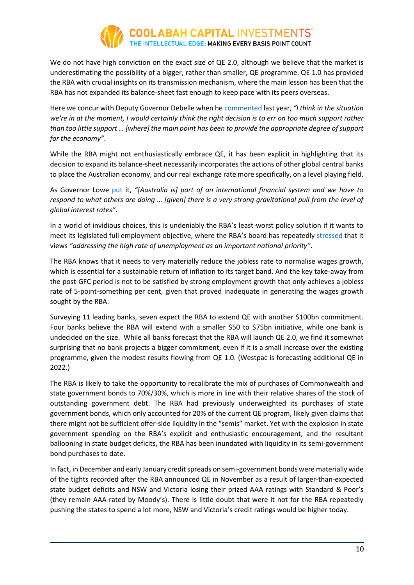![](_page_9_Picture_0.jpeg)

We do not have high conviction on the exact size of QE 2.0, although we believe that the market is underestimating the possibility of a bigger, rather than smaller, QE programme. QE 1.0 has provided the RBA with crucial insights on its transmission mechanism, where the main lesson has been that the RBA has not expanded its balance-sheet fast enough to keep pace with its peers overseas.

Here we concur with Deputy Governor Debelle when he commented last year, *"I think in the situation we're in at the moment, I would certainly think the right decision is to err on too much support rather than too little support … [where] the main point has been to provide the appropriate degree of support for the economy"*.

While the RBA might not enthusiastically embrace QE, it has been explicit in highlighting that its decision to expand its balance-sheet necessarily incorporates the actions of other global central banks to place the Australian economy, and our real exchange rate more specifically, on a level playing field.

As Governor Lowe [put](https://parlinfo.aph.gov.au/parlInfo/download/committees/commrep/4c225357-9226-403c-b656-6ee06c9f2b2f/toc_pdf/Standing%20Committee%20on%20Economics_2020_12_02_8387_Official.pdf;fileType=application%2Fpdf) it, *"[Australia is] part of an international financial system and we have to respond to what others are doing … [given] there is a very strong gravitational pull from the level of global interest rates"*.

In a world of invidious choices, this is undeniably the RBA's least-worst policy solution if it wants to meet its legislated full employment objective, where the RBA's board has repeatedly [stressed](https://rba.gov.au/media-releases/2020/mr-20-32.html) that it views *"addressing the high rate of unemployment as an important national priority"*.

The RBA knows that it needs to very materially reduce the jobless rate to normalise wages growth, which is essential for a sustainable return of inflation to its target band. And the key take-away from the post-GFC period is not to be satisfied by strong employment growth that only achieves a jobless rate of 5-point-something per cent, given that proved inadequate in generating the wages growth sought by the RBA.

Surveying 11 leading banks, seven expect the RBA to extend QE with another \$100bn commitment. Four banks believe the RBA will extend with a smaller \$50 to \$75bn initiative, while one bank is undecided on the size. While all banks forecast that the RBA will launch QE 2.0, we find it somewhat surprising that no bank projects a bigger commitment, even if it is a small increase over the existing programme, given the modest results flowing from QE 1.0. (Westpac is forecasting additional QE in 2022.)

The RBA is likely to take the opportunity to recalibrate the mix of purchases of Commonwealth and state government bonds to 70%/30%, which is more in line with their relative shares of the stock of outstanding government debt. The RBA had previously underweighted its purchases of state government bonds, which only accounted for 20% of the current QE program, likely given claims that there might not be sufficient offer-side liquidity in the "semis" market. Yet with the explosion in state government spending on the RBA's explicit and enthusiastic encouragement, and the resultant ballooning in state budget deficits, the RBA has been inundated with liquidity in its semi-government bond purchases to date.

In fact, in December and early January credit spreads on semi-government bonds were materially wide of the tights recorded after the RBA announced QE in November as a result of larger-than-expected state budget deficits and NSW and Victoria losing their prized AAA ratings with Standard & Poor's (they remain AAA-rated by Moody's). There is little doubt that were it not for the RBA repeatedly pushing the states to spend a lot more, NSW and Victoria's credit ratings would be higher today.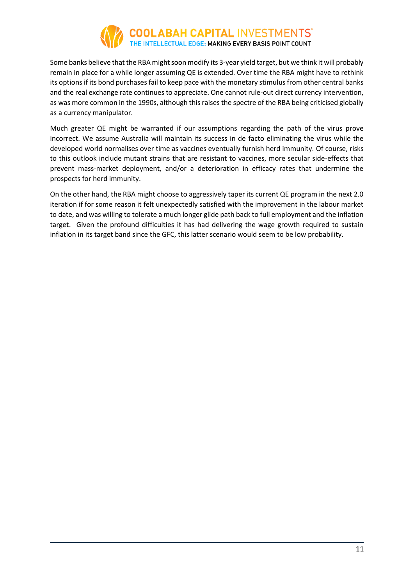# **COOLABAH CAPITAL INVESTMENTS"**<br>THE INTELLECTUAL EDGE: MAKING EVERY BASIS POINT COUNT

Some banks believe that the RBA might soon modify its 3-year yield target, but we think it will probably remain in place for a while longer assuming QE is extended. Over time the RBA might have to rethink its options if its bond purchases fail to keep pace with the monetary stimulus from other central banks and the real exchange rate continues to appreciate. One cannot rule-out direct currency intervention, as was more common in the 1990s, although this raises the spectre of the RBA being criticised globally as a currency manipulator.

Much greater QE might be warranted if our assumptions regarding the path of the virus prove incorrect. We assume Australia will maintain its success in de facto eliminating the virus while the developed world normalises over time as vaccines eventually furnish herd immunity. Of course, risks to this outlook include mutant strains that are resistant to vaccines, more secular side-effects that prevent mass-market deployment, and/or a deterioration in efficacy rates that undermine the prospects for herd immunity.

On the other hand, the RBA might choose to aggressively taper its current QE program in the next 2.0 iteration if for some reason it felt unexpectedly satisfied with the improvement in the labour market to date, and was willing to tolerate a much longer glide path back to full employment and the inflation target. Given the profound difficulties it has had delivering the wage growth required to sustain inflation in its target band since the GFC, this latter scenario would seem to be low probability.